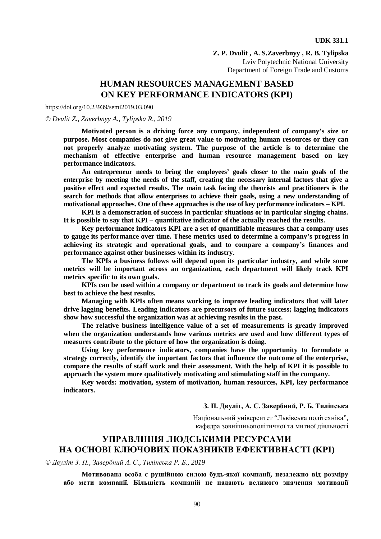**Z. P. Dvulit , A. S.Zaverbnyy , R. B. Tylipska**  Lviv Polytechnic National University Department of Foreign Trade and Customs

# **HUMAN RESOURCES MANAGEMENT BASED ON KEY PERFORMANCE INDICATORS (KPI)**

https://doi.org/10.23939/semi2019.03.090

#### *© Dvulit Z., Zaverbnyy A., Tylipska R., 2019*

**Motivated person is a driving force any company, independent of company's size or purpose. Most companies do not give great value to motivating human resources or they can not properly analyze motivating system. The purpose of the article is to determine the mechanism of effective enterprise and human resource management based on key performance indicators.** 

**An entrepreneur needs to bring the employees' goals closer to the main goals of the enterprise by meeting the needs of the staff, creating the necessary internal factors that give a positive effect and expected results. The main task facing the theorists and practitioners is the search for methods that allow enterprises to achieve their goals, using a new understanding of motivational approaches. One of these approaches is the use of key performance indicators – KPI.** 

**KPI is a demonstration of success in particular situations or in particular singing chains. It is possible to say that KPI – quantitative indicator of the actually reached the results.** 

**Key performance indicators KPI are a set of quantifiable measures that a company uses to gauge its performance over time. These metrics used to determine a company's progress in achieving its strategic and operational goals, and to compare a company's finances and performance against other businesses within its industry.** 

**The KPIs a business follows will depend upon its particular industry, and while some metrics will be important across an organization, each department will likely track KPI metrics specific to its own goals.** 

**KPIs can be used within a company or department to track its goals and determine how best to achieve the best results.** 

**Managing with KPIs often means working to improve leading indicators that will later drive lagging benefits. Leading indicators are precursors of future success; lagging indicators show how successful the organization was at achieving results in the past.** 

**The relative business intelligence value of a set of measurements is greatly improved when the organization understands how various metrics are used and how different types of measures contribute to the picture of how the organization is doing.** 

**Using key performance indicators, companies have the opportunity to formulate a strategy correctly, identify the important factors that influence the outcome of the enterprise, compare the results of staff work and their assessment. With the help of KPI it is possible to approach the system more qualitatively motivating and stimulating staff in the company.** 

**Key words: motivation, system of motivation, human resources, KPI, key performance indicators.** 

#### **З. П. Двуліт, А. С. Завербний, Р. Б. Тиліпська**

Національний університет "Львівська політехніка", кафедра зовнішньополітичної та митної діяльності

## **УПРАВЛІННЯ ЛЮДСЬКИМИ РЕСУРСАМИ НА ОСНОВІ КЛЮЧОВИХ ПОКАЗНИКІВ ЕФЕКТИВНАСТІ (KPI)**

*© Двуліт З. П., Завербний А. С., Тиліпська Р. Б., 2019* 

**Мотивована особа є рушійною силою будь-якої компанії, незалежно від розміру або мети компанії. Більшість компаній не надають великого значення мотивації**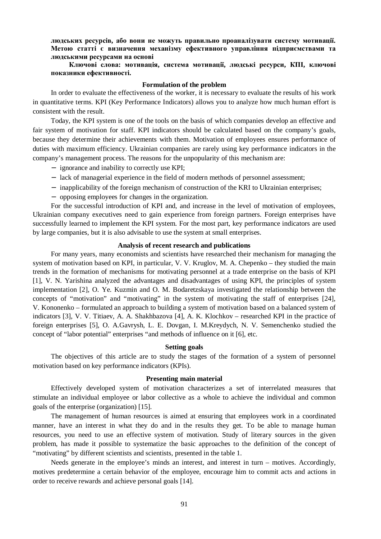**людських ресурсів, або вони не можуть правильно проаналізувати систему мотивації. Метою статті є визначення механізму ефективного управління підприємствами та людськими ресурсами на основі** 

## **Ключові слова: мотивація, система мотивації, людські ресурси, КПІ, ключові показники ефективності.**

#### **Formulation of the problem**

In order to evaluate the effectiveness of the worker, it is necessary to evaluate the results of his work in quantitative terms. KPI (Key Performance Indicators) allows you to analyze how much human effort is consistent with the result.

Today, the KPI system is one of the tools on the basis of which companies develop an effective and fair system of motivation for staff. KPI indicators should be calculated based on the company's goals, because they determine their achievements with them. Motivation of employees ensures performance of duties with maximum efficiency. Ukrainian companies are rarely using key performance indicators in the company's management process. The reasons for the unpopularity of this mechanism are:

− ignorance and inability to correctly use KPI;

- − lack of managerial experience in the field of modern methods of personnel assessment;
- − inapplicability of the foreign mechanism of construction of the KRI to Ukrainian enterprises;
- − opposing employees for changes in the organization.

For the successful introduction of KPI and, and increase in the level of motivation of employees, Ukrainian company executives need to gain experience from foreign partners. Foreign enterprises have successfully learned to implement the KPI system. For the most part, key performance indicators are used by large companies, but it is also advisable to use the system at small enterprises.

#### **Analysis of recent research and publications**

For many years, many economists and scientists have researched their mechanism for managing the system of motivation based on KPI, in particular, V. V. Kruglov, M. A. Chepenko – they studied the main trends in the formation of mechanisms for motivating personnel at a trade enterprise on the basis of KPI [1], V. N. Yarishina analyzed the advantages and disadvantages of using KPI, the principles of system implementation [2], O. Ye. Kuzmin and O. M. Bodaretzskaya investigated the relationship between the concepts of "motivation" and "motivating" in the system of motivating the staff of enterprises [24], V. Kononenko – formulated an approach to building a system of motivation based on a balanced system of indicators [3], V. V. Titiaev, A. A. Shakhbazova [4], A. K. Klochkov – researched KPI in the practice of foreign enterprises [5], O. A.Gavrysh, L. E. Dovgan, I. M.Kreydych, N. V. Semenchenko studied the concept of "labor potential" enterprises "and methods of influence on it [6], etc.

## **Setting goals**

The objectives of this article are to study the stages of the formation of a system of personnel motivation based on key performance indicators (KPIs).

#### **Presenting main material**

Effectively developed system of motivation characterizes a set of interrelated measures that stimulate an individual employee or labor collective as a whole to achieve the individual and common goals of the enterprise (organization) [15].

The management of human resources is aimed at ensuring that employees work in a coordinated manner, have an interest in what they do and in the results they get. To be able to manage human resources, you need to use an effective system of motivation. Study of literary sources in the given problem, has made it possible to systematize the basic approaches to the definition of the concept of "motivating" by different scientists and scientists, presented in the table 1.

Needs generate in the employee's minds an interest, and interest in turn – motives. Accordingly, motives predetermine a certain behavior of the employee, encourage him to commit acts and actions in order to receive rewards and achieve personal goals [14].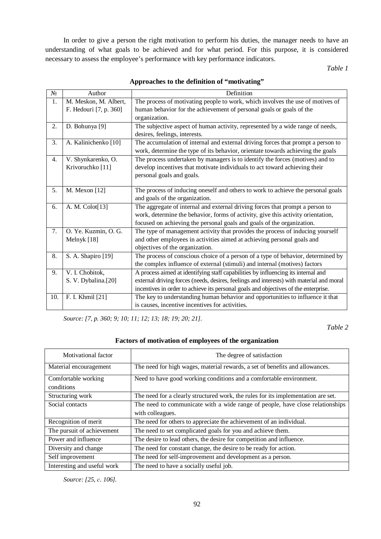In order to give a person the right motivation to perform his duties, the manager needs to have an understanding of what goals to be achieved and for what period. For this purpose, it is considered necessary to assess the employee's performance with key performance indicators.

*Table 1* 

| $\overline{\mathcal{N}_{0}}$ | Author                 | Definition                                                                               |
|------------------------------|------------------------|------------------------------------------------------------------------------------------|
| 1.                           | M. Meskon, M. Albert,  | The process of motivating people to work, which involves the use of motives of           |
|                              | F. Hedouri [7, p. 360] | human behavior for the achievement of personal goals or goals of the                     |
|                              |                        | organization.                                                                            |
| 2.                           | D. Bohunya [9]         | The subjective aspect of human activity, represented by a wide range of needs,           |
|                              |                        | desires, feelings, interests.                                                            |
| 3.                           | A. Kalinichenko [10]   | The accumulation of internal and external driving forces that prompt a person to         |
|                              |                        | work, determine the type of its behavior, orientate towards achieving the goals          |
| 4.                           | V. Shynkarenko, O.     | The process undertaken by managers is to identify the forces (motives) and to            |
|                              | Krivoruchko [11]       | develop incentives that motivate individuals to act toward achieving their               |
|                              |                        | personal goals and goals.                                                                |
|                              |                        |                                                                                          |
| 5.                           | M. Mexon [12]          | The process of inducing oneself and others to work to achieve the personal goals         |
|                              |                        | and goals of the organization.                                                           |
| 6.                           | A. M. Colot[13]        | The aggregate of internal and external driving forces that prompt a person to            |
|                              |                        | work, determine the behavior, forms of activity, give this activity orientation,         |
|                              |                        | focused on achieving the personal goals and goals of the organization.                   |
| 7.                           | O. Ye. Kuzmin, O. G.   | The type of management activity that provides the process of inducing yourself           |
|                              | Melnyk [18]            | and other employees in activities aimed at achieving personal goals and                  |
|                              |                        | objectives of the organization.                                                          |
| 8.                           | S. A. Shapiro [19]     | The process of conscious choice of a person of a type of behavior, determined by         |
|                              |                        | the complex influence of external (stimuli) and internal (motives) factors               |
| 9.                           | V. I. Chobitok,        | A process aimed at identifying staff capabilities by influencing its internal and        |
|                              | S. V. Dybalina.[20]    | external driving forces (needs, desires, feelings and interests) with material and moral |
|                              |                        | incentives in order to achieve its personal goals and objectives of the enterprise.      |
| 10.                          | F. I. Khmil [21]       | The key to understanding human behavior and opportunities to influence it that           |
|                              |                        | is causes, incentive incentives for activities.                                          |

**Approaches to the definition of "motivating"** 

*Source: [7, p. 360; 9; 10; 11; 12; 13; 18; 19; 20; 21].* 

*Table 2* 

## **Factors of motivation of employees of the organization**

| Motivational factor               | The degree of satisfaction                                                        |
|-----------------------------------|-----------------------------------------------------------------------------------|
| Material encouragement            | The need for high wages, material rewards, a set of benefits and allowances.      |
| Comfortable working<br>conditions | Need to have good working conditions and a comfortable environment.               |
| Structuring work                  | The need for a clearly structured work, the rules for its implementation are set. |
| Social contacts                   | The need to communicate with a wide range of people, have close relationships     |
|                                   | with colleagues.                                                                  |
| Recognition of merit              | The need for others to appreciate the achievement of an individual.               |
| The pursuit of achievement        | The need to set complicated goals for you and achieve them.                       |
| Power and influence               | The desire to lead others, the desire for competition and influence.              |
| Diversity and change              | The need for constant change, the desire to be ready for action.                  |
| Self improvement                  | The need for self-improvement and development as a person.                        |
| Interesting and useful work       | The need to have a socially useful job.                                           |

*Source: [25, с. 106].*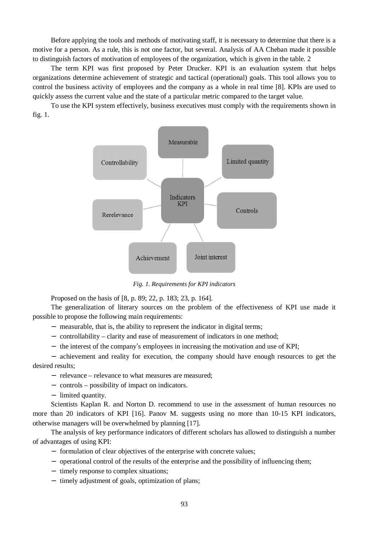Before applying the tools and methods of motivating staff, it is necessary to determine that there is a motive for a person. As a rule, this is not one factor, but several. Analysis of AA Cheban made it possible to distinguish factors of motivation of employees of the organization, which is given in the table. 2

The term KPI was first proposed by Peter Drucker. KPI is an evaluation system that helps organizations determine achievement of strategic and tactical (operational) goals. This tool allows you to control the business activity of employees and the company as a whole in real time [8]. KPIs are used to quickly assess the current value and the state of a particular metric compared to the target value.

To use the KPI system effectively, business executives must comply with the requirements shown in fig. 1.



*Fig. 1. Requirements for KPI indicators* 

Proposed on the basis of [8, p. 89; 22, p. 183; 23, p. 164].

The generalization of literary sources on the problem of the effectiveness of KPI use made it possible to propose the following main requirements:

- − measurable, that is, the ability to represent the indicator in digital terms;
- − controllability clarity and ease of measurement of indicators in one method;
- − the interest of the company's employees in increasing the motivation and use of KPI;

− achievement and reality for execution, the company should have enough resources to get the desired results;

− relevance – relevance to what measures are measured;

− controls – possibility of impact on indicators.

− limited quantity.

Scientists Kaplan R. and Norton D. recommend to use in the assessment of human resources no more than 20 indicators of KPI [16]. Panov M. suggests using no more than 10-15 KPI indicators, otherwise managers will be overwhelmed by planning [17].

The analysis of key performance indicators of different scholars has allowed to distinguish a number of advantages of using KPI:

- − formulation of clear objectives of the enterprise with concrete values;
- − operational control of the results of the enterprise and the possibility of influencing them;
- − timely response to complex situations;
- − timely adjustment of goals, optimization of plans;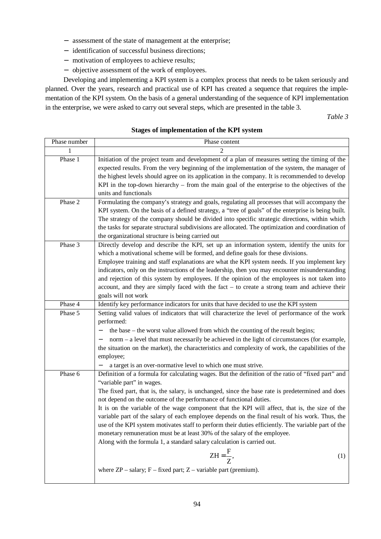- − assessment of the state of management at the enterprise;
- − identification of successful business directions;
- − motivation of employees to achieve results;
- − objective assessment of the work of employees.

Developing and implementing a KPI system is a complex process that needs to be taken seriously and planned. Over the years, research and practical use of KPI has created a sequence that requires the implementation of the KPI system. On the basis of a general understanding of the sequence of KPI implementation in the enterprise, we were asked to carry out several steps, which are presented in the table 3.

*Table 3* 

## **Stages of implementation of the KPI system**

| Phase number | Phase content                                                                                                                                                                                                                                                                                                                                                                                                                                                                                                                                                                                                                                                                                                                                                                                                                                                                         |
|--------------|---------------------------------------------------------------------------------------------------------------------------------------------------------------------------------------------------------------------------------------------------------------------------------------------------------------------------------------------------------------------------------------------------------------------------------------------------------------------------------------------------------------------------------------------------------------------------------------------------------------------------------------------------------------------------------------------------------------------------------------------------------------------------------------------------------------------------------------------------------------------------------------|
|              | 2                                                                                                                                                                                                                                                                                                                                                                                                                                                                                                                                                                                                                                                                                                                                                                                                                                                                                     |
| Phase 1      | Initiation of the project team and development of a plan of measures setting the timing of the<br>expected results. From the very beginning of the implementation of the system, the manager of<br>the highest levels should agree on its application in the company. It is recommended to develop<br>KPI in the top-down hierarchy – from the main goal of the enterprise to the objectives of the<br>units and functionals                                                                                                                                                                                                                                                                                                                                                                                                                                                          |
| Phase 2      | Formulating the company's strategy and goals, regulating all processes that will accompany the<br>KPI system. On the basis of a defined strategy, a "tree of goals" of the enterprise is being built.<br>The strategy of the company should be divided into specific strategic directions, within which<br>the tasks for separate structural subdivisions are allocated. The optimization and coordination of<br>the organizational structure is being carried out                                                                                                                                                                                                                                                                                                                                                                                                                    |
| Phase 3      | Directly develop and describe the KPI, set up an information system, identify the units for<br>which a motivational scheme will be formed, and define goals for these divisions.<br>Employee training and staff explanations are what the KPI system needs. If you implement key<br>indicators, only on the instructions of the leadership, then you may encounter misunderstanding<br>and rejection of this system by employees. If the opinion of the employees is not taken into<br>account, and they are simply faced with the fact $-$ to create a strong team and achieve their<br>goals will not work                                                                                                                                                                                                                                                                          |
| Phase 4      | Identify key performance indicators for units that have decided to use the KPI system                                                                                                                                                                                                                                                                                                                                                                                                                                                                                                                                                                                                                                                                                                                                                                                                 |
| Phase 5      | Setting valid values of indicators that will characterize the level of performance of the work<br>performed:<br>the base – the worst value allowed from which the counting of the result begins;<br>norm – a level that must necessarily be achieved in the light of circumstances (for example,<br>the situation on the market), the characteristics and complexity of work, the capabilities of the<br>employee;<br>a target is an over-normative level to which one must strive.                                                                                                                                                                                                                                                                                                                                                                                                   |
| Phase 6      | Definition of a formula for calculating wages. But the definition of the ratio of "fixed part" and<br>"variable part" in wages.<br>The fixed part, that is, the salary, is unchanged, since the base rate is predetermined and does<br>not depend on the outcome of the performance of functional duties.<br>It is on the variable of the wage component that the KPI will affect, that is, the size of the<br>variable part of the salary of each employee depends on the final result of his work. Thus, the<br>use of the KPI system motivates staff to perform their duties efficiently. The variable part of the<br>monetary remuneration must be at least 30% of the salary of the employee.<br>Along with the formula 1, a standard salary calculation is carried out.<br>$ZH = \frac{F}{Z}$ ,<br>(1)<br>where $ZP$ – salary; $F$ – fixed part; $Z$ – variable part (premium). |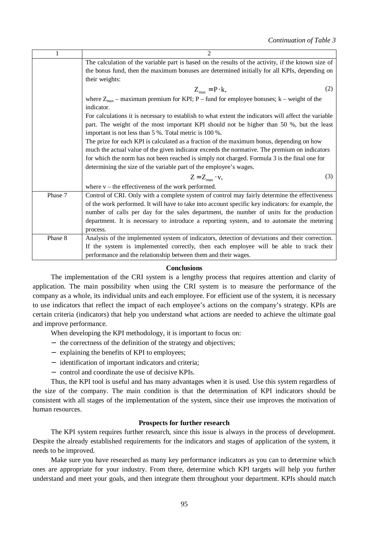| 1       | $\mathfrak{D}$                                                                                       |
|---------|------------------------------------------------------------------------------------------------------|
|         | The calculation of the variable part is based on the results of the activity, if the known size of   |
|         | the bonus fund, then the maximum bonuses are determined initially for all KPIs, depending on         |
|         | their weights:                                                                                       |
|         | $Z_{\text{max}} = P \cdot k,$<br>(2)                                                                 |
|         | where $Z_{\text{max}}$ – maximum premium for KPI; P – fund for employee bonuses; k – weight of the   |
|         | indicator.                                                                                           |
|         | For calculations it is necessary to establish to what extent the indicators will affect the variable |
|         | part. The weight of the most important KPI should not be higher than 50 %, but the least             |
|         | important is not less than 5 %. Total metric is 100 %.                                               |
|         | The prize for each KPI is calculated as a fraction of the maximum bonus, depending on how            |
|         | much the actual value of the given indicator exceeds the normative. The premium on indicators        |
|         | for which the norm has not been reached is simply not charged. Formula 3 is the final one for        |
|         | determining the size of the variable part of the employee's wages.                                   |
|         | (3)<br>$Z = Z_{\text{max}} \cdot v,$                                                                 |
|         | where $v$ – the effectiveness of the work performed.                                                 |
| Phase 7 | Control of CRI. Only with a complete system of control may fairly determine the effectiveness        |
|         | of the work performed. It will have to take into account specific key indicators: for example, the   |
|         | number of calls per day for the sales department, the number of units for the production             |
|         | department. It is necessary to introduce a reporting system, and to automate the metering            |
|         | process.                                                                                             |
| Phase 8 | Analysis of the implemented system of indicators, detection of deviations and their correction.      |
|         | If the system is implemented correctly, then each employee will be able to track their               |
|         | performance and the relationship between them and their wages.                                       |

#### **Conclusions**

The implementation of the CRI system is a lengthy process that requires attention and clarity of application. The main possibility when using the CRI system is to measure the performance of the company as a whole, its individual units and each employee. For efficient use of the system, it is necessary to use indicators that reflect the impact of each employee's actions on the company's strategy. KPIs are certain criteria (indicators) that help you understand what actions are needed to achieve the ultimate goal and improve performance.

When developing the KPI methodology, it is important to focus on:

- − the correctness of the definition of the strategy and objectives;
- − explaining the benefits of KPI to employees;
- − identification of important indicators and criteria;
- − control and coordinate the use of decisive KPIs.

Thus, the KPI tool is useful and has many advantages when it is used. Use this system regardless of the size of the company. The main condition is that the determination of KPI indicators should be consistent with all stages of the implementation of the system, since their use improves the motivation of human resources.

## **Prospects for further research**

The KPI system requires further research, since this issue is always in the process of development. Despite the already established requirements for the indicators and stages of application of the system, it needs to be improved.

Make sure you have researched as many key performance indicators as you can to determine which ones are appropriate for your industry. From there, determine which KPI targets will help you further understand and meet your goals, and then integrate them throughout your department. KPIs should match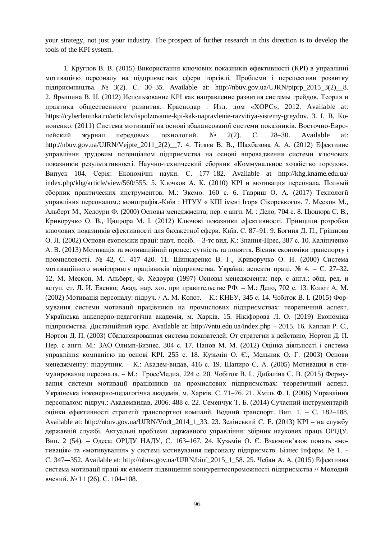your strategy, not just your industry. The prospect of further research in this direction is to develop the tools of the KPI system.

1. Круглов В. В. (2015) Використання ключових показників ефективності (KPI) в управлінні мотивацією персоналу на підприємствах сфери торгівлі, Проблеми і перспективи розвитку підприємництва. № 3(2). С. 30–35. Available at: http://nbuv.gov.ua/UJRN/piprp\_2015\_3(2)\_\_8. 2. Ярышина В. Н. (2012) Использование KPI как направление развития системы грейдов. Теория и практика общественного развития. Краснодар : Изд. дом «ХОРС», 2012. Available at: https://cyberleninka.ru/article/v/ispolzovanie-kpi-kak-napravlenie-razvitiya-sistemy-greydov. 3. І. В. Кононенко. (2011) Система мотивації на основі збалансованої системи показників. Восточно-Европейский журнал передовых технологий. № 2(2). С. 28–30. Available at: http://nbuv.gov.ua/UJRN/Vejpte\_2011\_2(2)\_\_7. 4. Тітяєв В. В., Шахбазова А. А. (2012) Ефективне управління трудовим потенціалом підприємства на основі впровадження системи ключових показників результативності. Научно-технический сборник «Коммунальное хозяйство городов». Випуск 104. Серія: Економічні науки. С. 177–182. Available at http://khg.kname.edu.ua/ index.php/khg/article/view/560/555. 5. Клочков А. К. (2010) KPI и мотивация персонала. Полный сборник практических инструментов. М.: Эксмо. 160 с. 6. Гавриш О. А. (2017) Технології управління персоналом.: монографія.-Київ : НТУУ « КПІ імені Ігоря Сікорського». 7. Мескон М., Альберт М., Хедоури Ф. (2000) Основы менеджмента; пер. с англ. M. : Дело, 704 с. 8. Цюцюра С. В., Криворучко О. В., Цюцюра М. І. (2012) Ключові показники ефективності. Принципи розробки ключових показників ефективності для бюджетної сфери. Київ. С. 87–91. 9. Богиня Д. П., Грішнова О. Л. (2002) Основи економіки праці: навч. посіб. – 3-тє вид. К.: Знання-Прес, 387 с. 10. Калініченко А. В. (2013) Мотивація та мотиваційний процес: сутність та поняття. Вісник економіки транспорту і промисловості. № 42, С. 417–420. 11. Шинкаренко В. Г., Криворучко О. Н. (2000) Система мотиваційного моніторингу працівників підприємства. Україна: аспекти праці. № 4. – С. 27–32. 12. М. Мескон, М. Альберт, Ф. Хедоури (1997) Основы менеджмента: пер. с англ.; общ. ред. и вступ. ст. Л. И. Евенко; Акад. нар. хоз. при правительстве РФ. – М.: Дело, 702 с. 13. Колот А. М. (2002) Мотивація персоналу: підруч. / А. М. Колот. – К.: КНЕУ, 345 с. 14. Чобіток В. І. (2015) Формування системи мотивації працівників на промислових підприємствах: теоретичний аспект. Українська інженерно-педагогічна академія, м. Харків. 15. Нікіфорова Л. О. (2019) Економіка підприємства. Дистанційний курс. Available at: http://vntu.edu.ua/index.php – 2015. 16. Каплан Р. С., Нортон Д. П. (2003) Сбалансированная система показателей. От стратегии к действию, Нортон Д. П. Пер. с англ. М.: ЗАО Олимп-Бизнес. 304 с. 17. Панов М. М. (2012) Оцінка діяльності і система управління компанією на основі KPI. 255 с. 18. Кузьмін О. Є., Мельник О. Г. (2003) Основи менеджменту: підручник. – К.: Академ-видав, 416 с. 19. Шапиро С. А. (2005) Мотивация и стимулирование персонала. – М.: ГроссМедиа, 224 с. 20. Чобіток В. І., Дибаліна С. В. (2015) Формування системи мотивації працівників на промислових підприємствах: теоретичний аспект. Українська інженерно-педагогічна академія, м. Харків. С. 71–76. 21. Хміль Ф. І. (2006) Управління персоналом: підруч.: Академвидав, 2006. 488 с. 22. Семенчук Т. Б. (2014) Сучасний інструментарій оцінки ефективності стратегії транспортної компанії. Водний транспорт. Вип. 1. – С. 182–188. Available at: http://nbuv.gov.ua/UJRN/Vodt\_2014\_1\_33. 23. Зелінський С. Е. (2013) KPI – на службу державній службі. Актуальні проблеми державного управління: збірник наукових праць ОРІДУ. Вип. 2 (54). – Одеса: ОРІДУ НАДУ, С. 163–167. 24. Кузьмін О. Є. Взаємозв'язок понять «мотивація» та «мотивування» у системі мотивування персоналу підприємств. Бізнес Інформ. № 1. – С. 347–-352. Available at: http://nbuv.gov.ua/UJRN/binf\_2015\_1\_58. 25. Чебан А. А. (2015) Eфективна система мотивації праці як елемент підвищення конкурентоспроможності підприємства // Молодий вчений. № 11 (26). С. 104–108.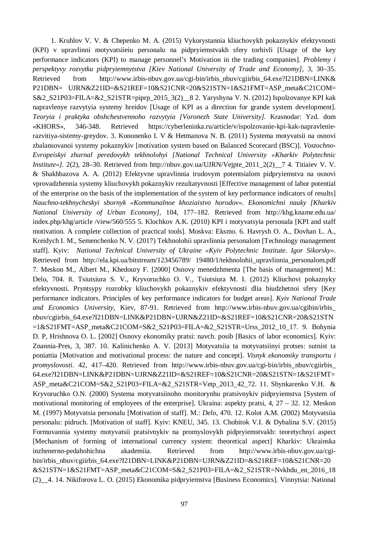1. Kruhlov V. V. & Chepenko M. A. (2015) Vykorystannia kliuchovykh pokaznykiv efektyvnosti (KPI) v upravlinni motyvatsiieiu personalu na pidpryiemstvakh sfery torhivli [Usage of the key performance indicators (KPI) to manage personnel's Motivation in the trading companies]. *Problemy i perspektyvy rozvytku pidpryiemnytstva [Kiev National University of Trade and Economy]*, 3, 30–35. Retrieved from http://www.irbis-nbuv.gov.ua/cgi-bin/irbis\_nbuv/cgiirbis\_64.exe?I21DBN=LINK& P21DBN= UJRN&Z21ID=&S21REF=10&S21CNR=20&S21STN=1&S21FMT=ASP\_meta&C21COM= S&2\_S21P03=FILA=&2\_S21STR=piprp\_2015\_3(2)\_\_8 2. Yaryshyna V. N. (2012) Ispolzovanye KPI kak napravlenye razvytyia systemy hreidov [Usage of KPI as a direction for grande system development]. *Teoryia i praktyka obshchestvennoho razvytyia [Voronezh State University].* Krasnodar: Yzd. dom «KHORS», 346-348. Retrieved https://cyberleninka.ru/article/v/ispolzovanie-kpi-kak-napravlenierazvitiya-sistemy-greydov. 3. Kononenko I. V & Hetmanova N. B. (2011) Systema motyvatsii na osnovi zbalansovanoi systemy pokaznykiv [motivation system based on Balanced Scorecard (BSC)]. *Vostochno-Evropeiskyi zhurnal peredovykh tekhnolohyi [National Technical University «Kharkiv Polytechnic Institute»].* 2(2), 28–30. Retrieved from http://nbuv.gov.ua/UJRN/Vejpte\_2011\_2(2)\_\_7 4. Titiaiev V. V. & Shakhbazova A. A. (2012) Efektyvne upravlinnia trudovym potentsialom pidpryiemstva na osnovi vprovadzhennia systemy kliuchovykh pokaznykiv rezultatyvnosti [Effective management of labor potential of the enterprise on the basis of the implementation of the system of key performance indicators of results] *Nauchno-tekhnycheskyi sbornyk «Kommunalnoe khoziaistvo horodov». Ekonomichni nauky [Kharkiv National University of Urban Economy],* 104, 177–182. Retrieved from http://khg.kname.edu.ua/ index.php/khg/article /view/560/555 5. Klochkov A.K. (2010) KPI i motyvatsyia personala [KPI and staff motivation. A complete collection of practical tools]. Moskva: Eksmo. 6. Havrysh O. A., Dovhan L. A., Kreidych I. M., Semenchenko N. V. (2017) Tekhnolohii upravlinnia personalom [Technology management staff]. Kyiv: *National Technical University of Ukraine «Kyiv Polytechnic Institute. Igor Sikorsky».* Retrieved from http://ela.kpi.ua/bitstream/123456789/ 19480/1/tekhnolohii\_upravlinnia\_personalom.pdf 7. Meskon M., Albert M., Khedoury F. [2000] Osnovy menedzhmenta [The basis of management] M.: Delo, 704. 8. Tsiutsiura S. V., Kryvoruchko O. V., Tsiutsiura M. I. (2012) Kliuchovi pokaznyky efektyvnosti. Pryntsypy rozrobky kliuchovykh pokaznykiv efektyvnosti dlia biudzhetnoi sfery [Key performance indicators. Principles of key performance indicators for budget areas]. *Kyiv National Trade and Economics University*, Kiev, 87-91. Retrieved from http://www.irbis-nbuv.gov.ua/cgibin/irbis\_ nbuv/cgiirbis\_64.exe?I21DBN=LINK&P21DBN=UJRN&Z21ID=&S21REF=10&S21CNR=20&S21STN  $=1&S21FMT=ASP$  meta $&C21COM=SA2$   $S21P03=FILA=\&2$   $S21STR=Urss$  2012 10 17. 9. Bohynia D. P, Hrishnova O. L. [2002] Osnovy ekonomiky pratsi: navch. posib [Basics of labor economics]. Kyiv: Znannia-Pres, 3, 387. 10. Kalinichenko A. V. [2013] Motyvatsiia ta motyvatsiinyi protses: sutnist ta poniattia [Motivation and motivational process: the nature and concept]. *Visnyk ekonomiky transportu i promyslovosti*. 42, 417–420. Retrieved from http://www.irbis-nbuv.gov.ua/cgi-bin/irbis\_nbuv/cgiirbis\_ 64.exe?I21DBN=LINK&P21DBN=UJRN&Z21ID=&S21REF=10&S21CNR=20&S21STN=1&S21FMT= ASP\_meta&C21COM=S&2\_S21P03=FILA=&2\_S21STR=Vetp\_2013\_42\_72. 11. Shynkarenko V.H. & Kryvoruchko O.N. (2000) Systema motyvatsiinoho monitorynhu pratsivnykiv pidpryiemstva [System of motivational monitoring of employees of the enterprise]. Ukraina: aspekty pratsi,  $4, 27 - 32$ . 12. Meskon M. (1997) Motyvatsia personalu [Motivation of staff]. M.: *Delo,* 470. 12. Kolot A.M. (2002) Motyvatsiia personalu: pidruch. [Motivation of staff]. Kyiv: KNEU, 345. 13. Chobitok V.I. & Dybalina S.V. (2015) Formuvannia systemy motyvatsii pratsivnykiv na promyslovykh pidpryiemstvakh: teoretychnyi aspect [Mechanism of forming of international currency system: theoretical aspect] Kharkiv: Ukrainska inzhenerno-pedahohichna akademiia. Retrieved from http://www.irbis-nbuv.gov.ua/cgibin/irbis\_nbuv/cgiirbis\_64.exe?I21DBN=LINK&P21DBN=UJRN&Z21ID=&S21REF=10&S21CNR=20 &S21STN=1&S21FMT=ASP\_meta&C21COM=S&2\_S21P03=FILA=&2\_S21STR=Nvkhdu\_en\_2016\_18 (2)\_\_4. 14. Nikiforova L. O. (2015) Ekonomika pidpryiemstva [Business Economics]. Vinnytsia: National